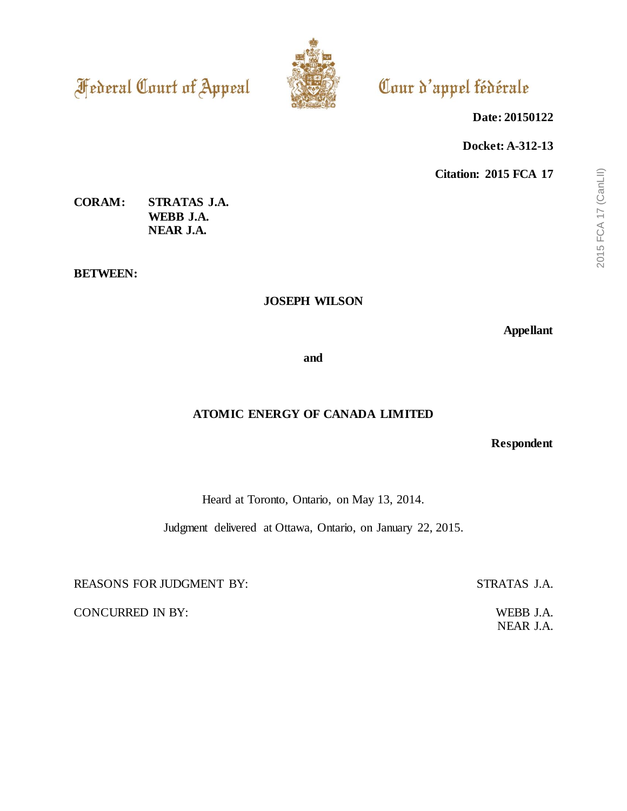**Federal Court of Appeal** 



# Cour d'appel fédérale

**Date: 20150122**

**Docket: A-312-13**

**Citation: 2015 FCA 17**

# **CORAM: STRATAS J.A. WEBB J.A. NEAR J.A.**

**BETWEEN:**

## **JOSEPH WILSON**

**Appellant**

**and**

# **ATOMIC ENERGY OF CANADA LIMITED**

**Respondent**

Heard at Toronto, Ontario, on May 13, 2014.

Judgment delivered at Ottawa, Ontario, on January 22, 2015.

REASONS FOR JUDGMENT BY: STRATAS J.A.

CONCURRED IN BY: WEBB J.A.

NEAR J.A.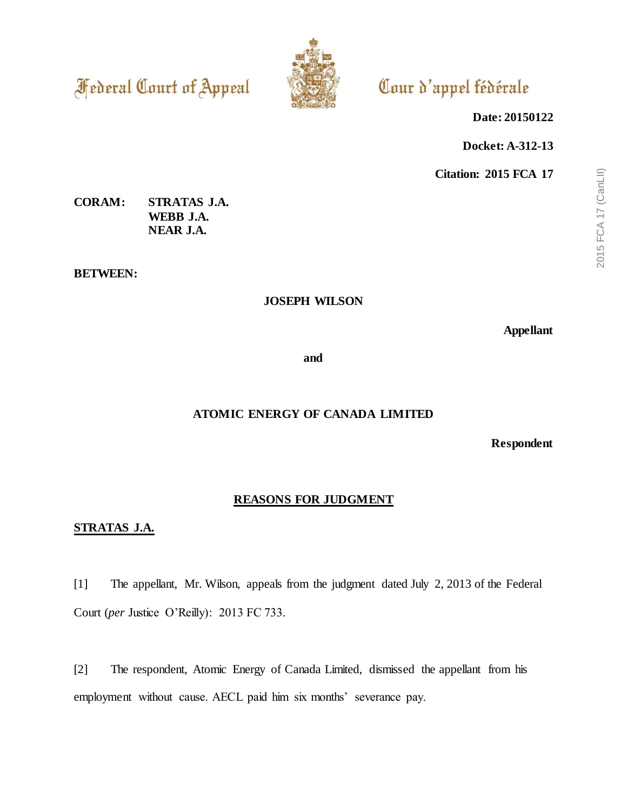**Federal Court of Appeal** 



# Cour d'appel fédérale

**Date: 20150122**

**Docket: A-312-13**

**Citation: 2015 FCA 17**

# **CORAM: STRATAS J.A. WEBB J.A. NEAR J.A.**

**BETWEEN:**

## **JOSEPH WILSON**

**Appellant**

**and**

# **ATOMIC ENERGY OF CANADA LIMITED**

**Respondent**

## **REASONS FOR JUDGMENT**

### **STRATAS J.A.**

[1] The appellant, Mr. Wilson, appeals from the judgment dated July 2, 2013 of the Federal Court (*per* Justice O'Reilly): 2013 FC 733.

[2] The respondent, Atomic Energy of Canada Limited, dismissed the appellant from his employment without cause. AECL paid him six months' severance pay.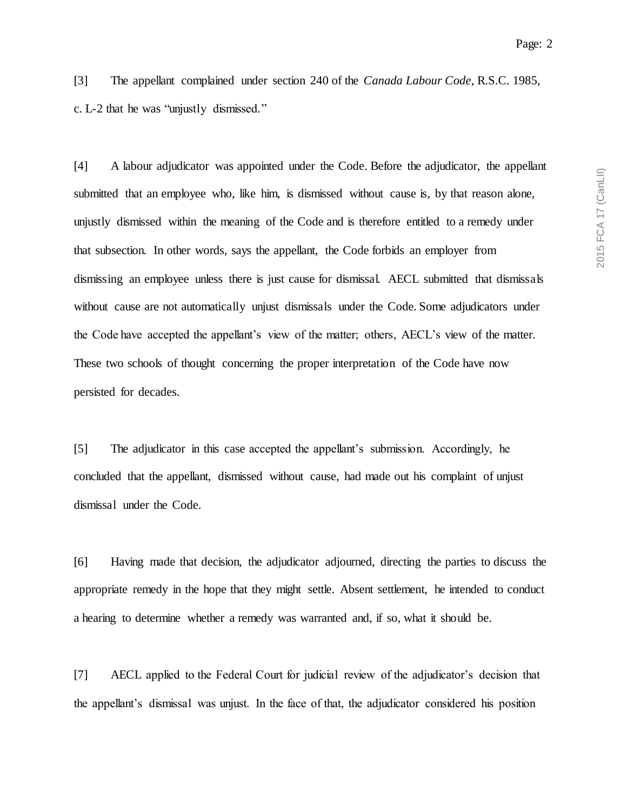[3] The appellant complained under section 240 of the *Canada Labour Code*, R.S.C. 1985, c. L-2 that he was "unjustly dismissed."

[4] A labour adjudicator was appointed under the Code. Before the adjudicator, the appellant submitted that an employee who, like him, is dismissed without cause is, by that reason alone, unjustly dismissed within the meaning of the Code and is therefore entitled to a remedy under that subsection. In other words, says the appellant, the Code forbids an employer from dismissing an employee unless there is just cause for dismissal. AECL submitted that dismissals without cause are not automatically unjust dismissals under the Code. Some adjudicators under the Code have accepted the appellant's view of the matter; others, AECL's view of the matter. These two schools of thought concerning the proper interpretation of the Code have now persisted for decades.

[5] The adjudicator in this case accepted the appellant's submission. Accordingly, he concluded that the appellant, dismissed without cause, had made out his complaint of unjust dismissal under the Code.

[6] Having made that decision, the adjudicator adjourned, directing the parties to discuss the appropriate remedy in the hope that they might settle. Absent settlement, he intended to conduct a hearing to determine whether a remedy was warranted and, if so, what it should be.

[7] AECL applied to the Federal Court for judicial review of the adjudicator's decision that the appellant's dismissal was unjust. In the face of that, the adjudicator considered his position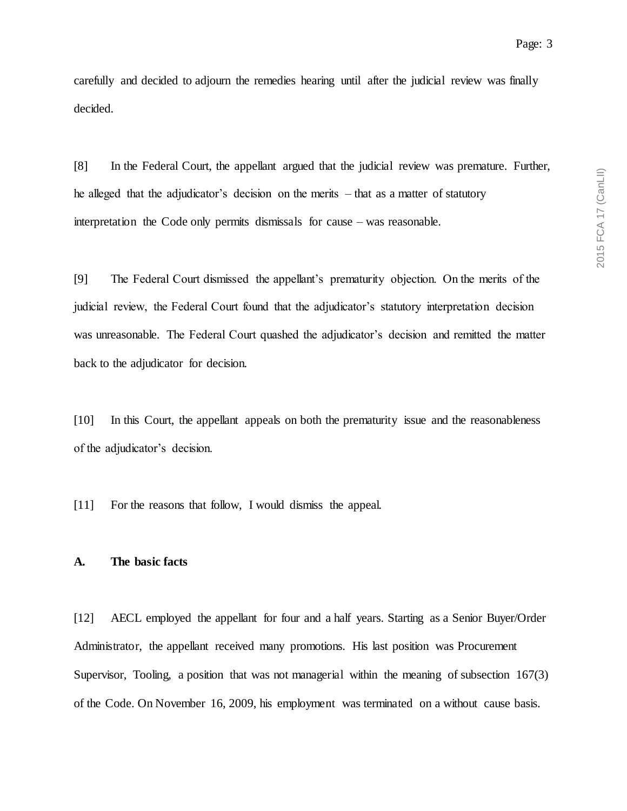carefully and decided to adjourn the remedies hearing until after the judicial review was finally decided.

[8] In the Federal Court, the appellant argued that the judicial review was premature. Further, he alleged that the adjudicator's decision on the merits – that as a matter of statutory interpretation the Code only permits dismissals for cause – was reasonable.

[9] The Federal Court dismissed the appellant's prematurity objection. On the merits of the judicial review, the Federal Court found that the adjudicator's statutory interpretation decision was unreasonable. The Federal Court quashed the adjudicator's decision and remitted the matter back to the adjudicator for decision.

[10] In this Court, the appellant appeals on both the prematurity issue and the reasonableness of the adjudicator's decision.

[11] For the reasons that follow, I would dismiss the appeal.

#### **A. The basic facts**

[12] AECL employed the appellant for four and a half years. Starting as a Senior Buyer/Order Administrator, the appellant received many promotions. His last position was Procurement Supervisor, Tooling, a position that was not managerial within the meaning of subsection 167(3) of the Code. On November 16, 2009, his employment was terminated on a without cause basis.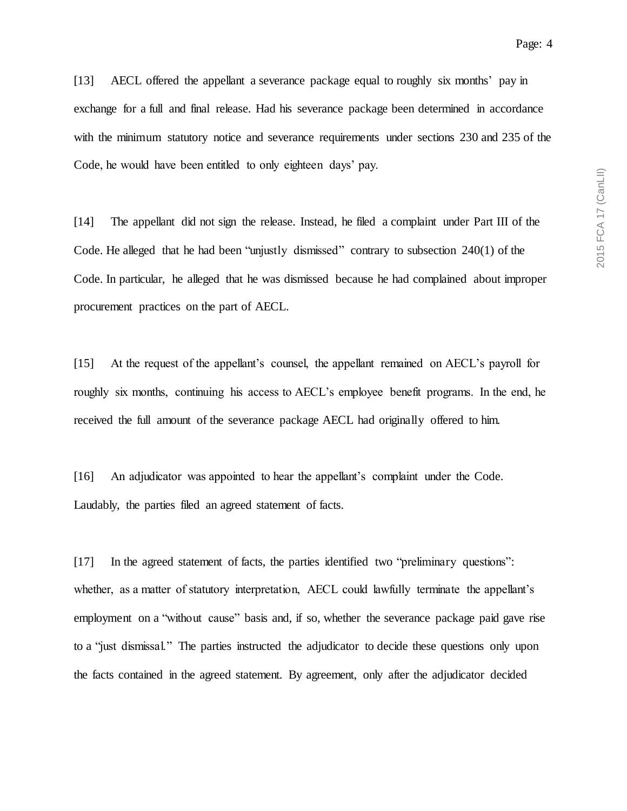[13] AECL offered the appellant a severance package equal to roughly six months' pay in exchange for a full and final release. Had his severance package been determined in accordance with the minimum statutory notice and severance requirements under sections 230 and 235 of the Code, he would have been entitled to only eighteen days' pay.

[14] The appellant did not sign the release. Instead, he filed a complaint under Part III of the Code. He alleged that he had been "unjustly dismissed" contrary to subsection 240(1) of the Code. In particular, he alleged that he was dismissed because he had complained about improper procurement practices on the part of AECL.

[15] At the request of the appellant's counsel, the appellant remained on AECL's payroll for roughly six months, continuing his access to AECL's employee benefit programs. In the end, he received the full amount of the severance package AECL had originally offered to him.

[16] An adjudicator was appointed to hear the appellant's complaint under the Code. Laudably, the parties filed an agreed statement of facts.

[17] In the agreed statement of facts, the parties identified two "preliminary questions": whether, as a matter of statutory interpretation, AECL could lawfully terminate the appellant's employment on a "without cause" basis and, if so, whether the severance package paid gave rise to a "just dismissal." The parties instructed the adjudicator to decide these questions only upon the facts contained in the agreed statement. By agreement, only after the adjudicator decided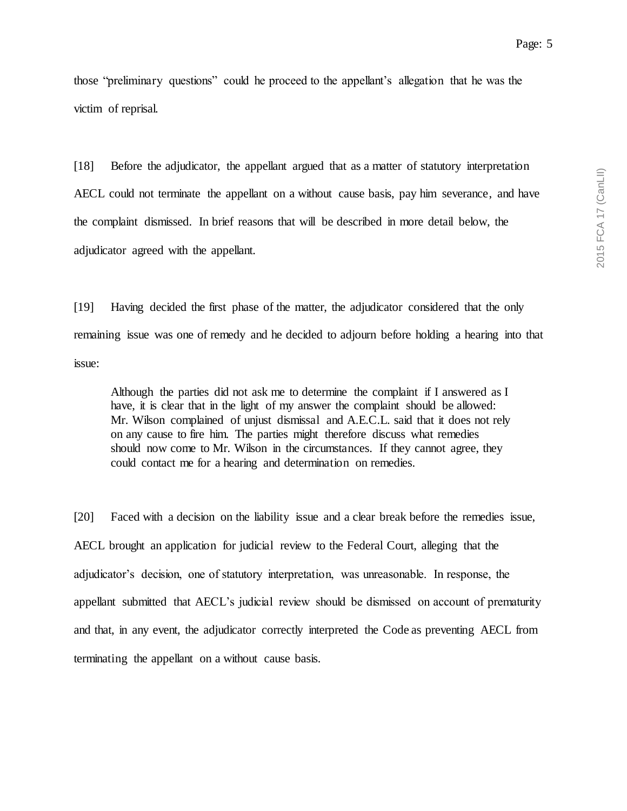those "preliminary questions" could he proceed to the appellant's allegation that he was the victim of reprisal.

[18] Before the adjudicator, the appellant argued that as a matter of statutory interpretation AECL could not terminate the appellant on a without cause basis, pay him severance, and have the complaint dismissed. In brief reasons that will be described in more detail below, the adjudicator agreed with the appellant.

[19] Having decided the first phase of the matter, the adjudicator considered that the only remaining issue was one of remedy and he decided to adjourn before holding a hearing into that issue:

Although the parties did not ask me to determine the complaint if I answered as I have, it is clear that in the light of my answer the complaint should be allowed: Mr. Wilson complained of unjust dismissal and A.E.C.L. said that it does not rely on any cause to fire him. The parties might therefore discuss what remedies should now come to Mr. Wilson in the circumstances. If they cannot agree, they could contact me for a hearing and determination on remedies.

[20] Faced with a decision on the liability issue and a clear break before the remedies issue, AECL brought an application for judicial review to the Federal Court, alleging that the adjudicator's decision, one of statutory interpretation, was unreasonable. In response, the appellant submitted that AECL's judicial review should be dismissed on account of prematurity and that, in any event, the adjudicator correctly interpreted the Code as preventing AECL from terminating the appellant on a without cause basis.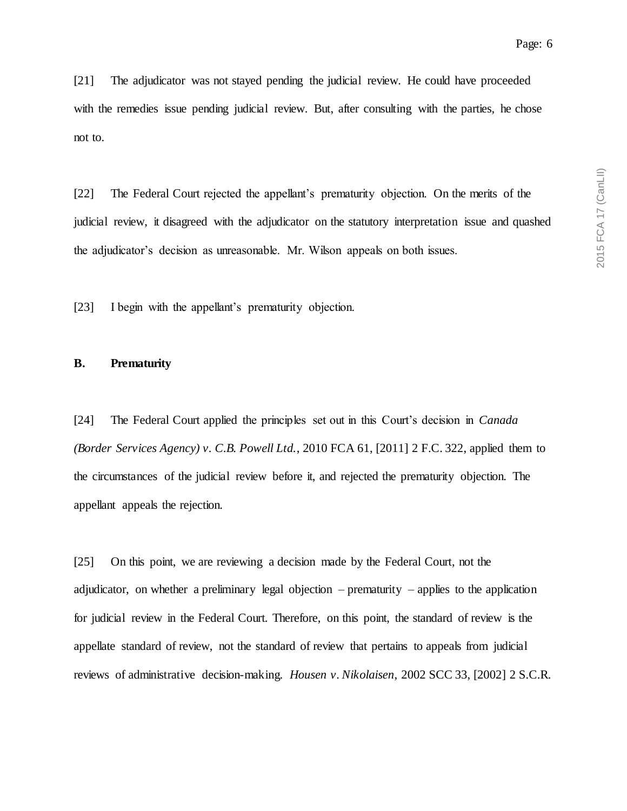[21] The adjudicator was not stayed pending the judicial review. He could have proceeded with the remedies issue pending judicial review. But, after consulting with the parties, he chose not to.

[22] The Federal Court rejected the appellant's prematurity objection. On the merits of the judicial review, it disagreed with the adjudicator on the statutory interpretation issue and quashed the adjudicator's decision as unreasonable. Mr. Wilson appeals on both issues.

[23] I begin with the appellant's prematurity objection.

### **B. Prematurity**

[24] The Federal Court applied the principles set out in this Court's decision in *Canada (Border Services Agency) v. C.B. Powell Ltd.*, 2010 FCA 61, [2011] 2 F.C. 322, applied them to the circumstances of the judicial review before it, and rejected the prematurity objection. The appellant appeals the rejection.

[25] On this point, we are reviewing a decision made by the Federal Court, not the adjudicator, on whether a preliminary legal objection – prematurity – applies to the application for judicial review in the Federal Court. Therefore, on this point, the standard of review is the appellate standard of review, not the standard of review that pertains to appeals from judicial reviews of administrative decision-making. *Housen v. Nikolaisen*, 2002 SCC 33, [2002] 2 S.C.R.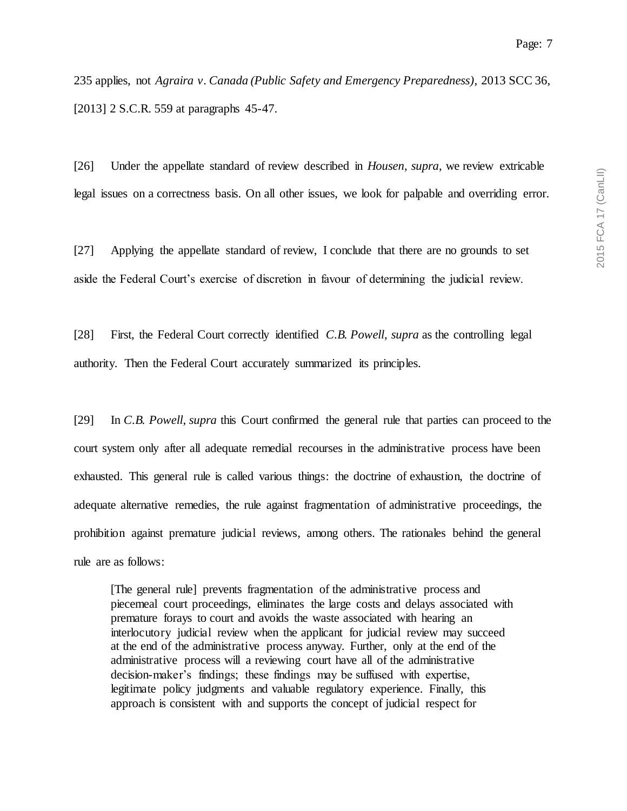235 applies, not *Agraira v. Canada (Public Safety and Emergency Preparedness)*, 2013 SCC 36, [2013] 2 S.C.R. 559 at paragraphs 45-47.

[26] Under the appellate standard of review described in *Housen*, *supra*, we review extricable legal issues on a correctness basis. On all other issues, we look for palpable and overriding error.

[27] Applying the appellate standard of review, I conclude that there are no grounds to set aside the Federal Court's exercise of discretion in favour of determining the judicial review.

[28] First, the Federal Court correctly identified *C.B. Powell*, *supra* as the controlling legal authority. Then the Federal Court accurately summarized its principles.

[29] In *C.B. Powell*, *supra* this Court confirmed the general rule that parties can proceed to the court system only after all adequate remedial recourses in the administrative process have been exhausted. This general rule is called various things: the doctrine of exhaustion, the doctrine of adequate alternative remedies, the rule against fragmentation of administrative proceedings, the prohibition against premature judicial reviews, among others. The rationales behind the general rule are as follows:

[The general rule] prevents fragmentation of the administrative process and piecemeal court proceedings, eliminates the large costs and delays associated with premature forays to court and avoids the waste associated with hearing an interlocutory judicial review when the applicant for judicial review may succeed at the end of the administrative process anyway. Further, only at the end of the administrative process will a reviewing court have all of the administrative decision-maker's findings; these findings may be suffused with expertise, legitimate policy judgments and valuable regulatory experience. Finally, this approach is consistent with and supports the concept of judicial respect for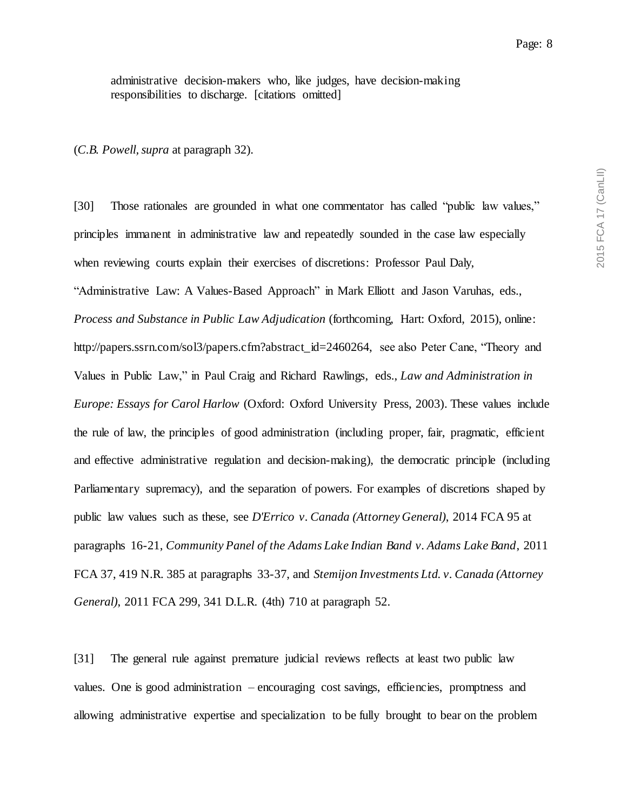administrative decision-makers who, like judges, have decision-making responsibilities to discharge. [citations omitted]

(*C.B. Powell, supra* at paragraph 32).

[30] Those rationales are grounded in what one commentator has called "public law values," principles immanent in administrative law and repeatedly sounded in the case law especially when reviewing courts explain their exercises of discretions: Professor Paul Daly, "Administrative Law: A Values-Based Approach" in Mark Elliott and Jason Varuhas, eds., *Process and Substance in Public Law Adjudication* (forthcoming, Hart: Oxford, 2015), online: http://papers.ssrn.com/sol3/papers.cfm?abstract\_id=2460264, see also Peter Cane, "Theory and Values in Public Law," in Paul Craig and Richard Rawlings, eds., *Law and Administration in Europe: Essays for Carol Harlow* (Oxford: Oxford University Press, 2003). These values include the rule of law, the principles of good administration (including proper, fair, pragmatic, efficient and effective administrative regulation and decision-making), the democratic principle (including Parliamentary supremacy), and the separation of powers. For examples of discretions shaped by public law values such as these, see *D'Errico v. Canada (Attorney General)*, 2014 FCA 95 at paragraphs 16-21, *Community Panel of the Adams Lake Indian Band v. Adams Lake Band*, 2011 FCA 37, 419 N.R. 385 at paragraphs 33-37, and *Stemijon Investments Ltd. v. Canada (Attorney General)*, 2011 FCA 299, 341 D.L.R. (4th) 710 at paragraph 52.

[31] The general rule against premature judicial reviews reflects at least two public law values. One is good administration – encouraging cost savings, efficiencies, promptness and allowing administrative expertise and specialization to be fully brought to bear on the problem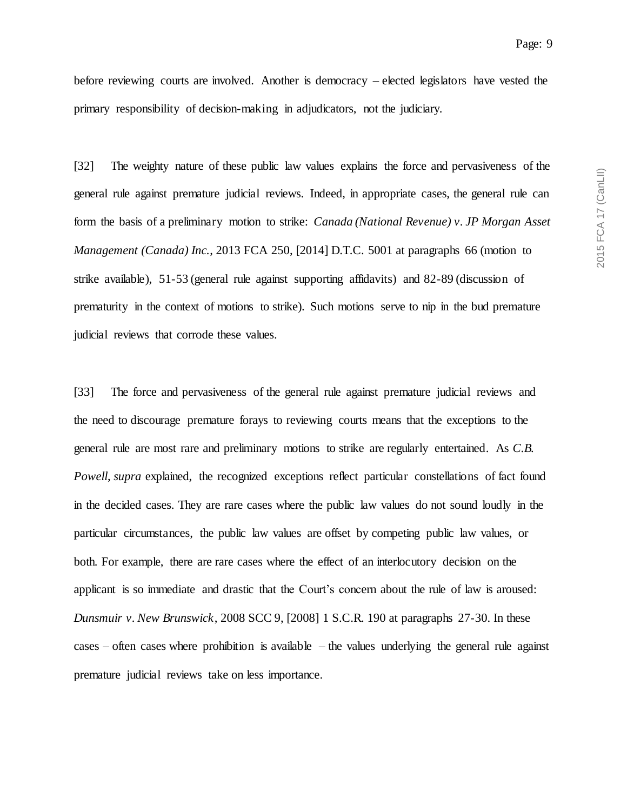before reviewing courts are involved. Another is democracy – elected legislators have vested the primary responsibility of decision-making in adjudicators, not the judiciary.

[32] The weighty nature of these public law values explains the force and pervasiveness of the general rule against premature judicial reviews. Indeed, in appropriate cases, the general rule can form the basis of a preliminary motion to strike: *Canada (National Revenue) v. JP Morgan Asset Management (Canada) Inc.*, 2013 FCA 250, [2014] D.T.C. 5001 at paragraphs 66 (motion to strike available), 51-53 (general rule against supporting affidavits) and 82-89 (discussion of prematurity in the context of motions to strike). Such motions serve to nip in the bud premature judicial reviews that corrode these values.

[33] The force and pervasiveness of the general rule against premature judicial reviews and the need to discourage premature forays to reviewing courts means that the exceptions to the general rule are most rare and preliminary motions to strike are regularly entertained. As *C.B. Powell*, *supra* explained, the recognized exceptions reflect particular constellations of fact found in the decided cases. They are rare cases where the public law values do not sound loudly in the particular circumstances, the public law values are offset by competing public law values, or both. For example, there are rare cases where the effect of an interlocutory decision on the applicant is so immediate and drastic that the Court's concern about the rule of law is aroused: *Dunsmuir v. New Brunswick*, 2008 SCC 9, [2008] 1 S.C.R. 190 at paragraphs 27-30. In these cases – often cases where prohibition is available – the values underlying the general rule against premature judicial reviews take on less importance.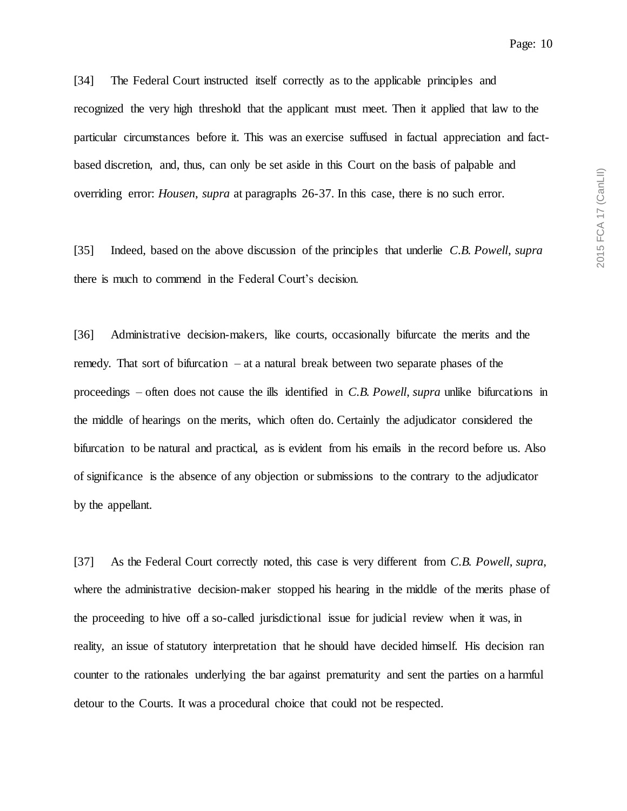[34] The Federal Court instructed itself correctly as to the applicable principles and recognized the very high threshold that the applicant must meet. Then it applied that law to the particular circumstances before it. This was an exercise suffused in factual appreciation and factbased discretion, and, thus, can only be set aside in this Court on the basis of palpable and overriding error: *Housen*, *supra* at paragraphs 26-37. In this case, there is no such error.

[35] Indeed, based on the above discussion of the principles that underlie *C.B. Powell*, *supra* there is much to commend in the Federal Court's decision.

[36] Administrative decision-makers, like courts, occasionally bifurcate the merits and the remedy. That sort of bifurcation – at a natural break between two separate phases of the proceedings – often does not cause the ills identified in *C.B. Powell*, *supra* unlike bifurcations in the middle of hearings on the merits, which often do. Certainly the adjudicator considered the bifurcation to be natural and practical, as is evident from his emails in the record before us. Also of significance is the absence of any objection or submissions to the contrary to the adjudicator by the appellant.

[37] As the Federal Court correctly noted, this case is very different from *C.B. Powell*, *supra*, where the administrative decision-maker stopped his hearing in the middle of the merits phase of the proceeding to hive off a so-called jurisdictional issue for judicial review when it was, in reality, an issue of statutory interpretation that he should have decided himself. His decision ran counter to the rationales underlying the bar against prematurity and sent the parties on a harmful detour to the Courts. It was a procedural choice that could not be respected.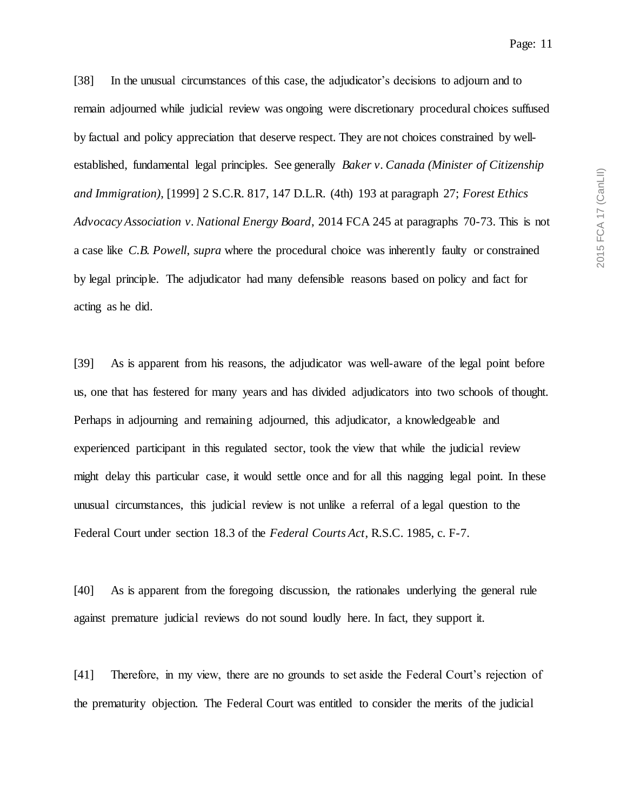Page: 11

[38] In the unusual circumstances of this case, the adjudicator's decisions to adjourn and to remain adjourned while judicial review was ongoing were discretionary procedural choices suffused by factual and policy appreciation that deserve respect. They are not choices constrained by wellestablished, fundamental legal principles. See generally *Baker v. Canada (Minister of Citizenship and Immigration)*, [1999] 2 S.C.R. 817, 147 D.L.R. (4th) 193 at paragraph 27; *Forest Ethics Advocacy Association v. National Energy Board*, 2014 FCA 245 at paragraphs 70-73. This is not a case like *C.B. Powell*, *supra* where the procedural choice was inherently faulty or constrained by legal principle. The adjudicator had many defensible reasons based on policy and fact for acting as he did.

[39] As is apparent from his reasons, the adjudicator was well-aware of the legal point before us, one that has festered for many years and has divided adjudicators into two schools of thought. Perhaps in adjourning and remaining adjourned, this adjudicator, a knowledgeable and experienced participant in this regulated sector, took the view that while the judicial review might delay this particular case, it would settle once and for all this nagging legal point. In these unusual circumstances, this judicial review is not unlike a referral of a legal question to the Federal Court under section 18.3 of the *Federal Courts Act*, R.S.C. 1985, c. F-7.

[40] As is apparent from the foregoing discussion, the rationales underlying the general rule against premature judicial reviews do not sound loudly here. In fact, they support it.

[41] Therefore, in my view, there are no grounds to set aside the Federal Court's rejection of the prematurity objection. The Federal Court was entitled to consider the merits of the judicial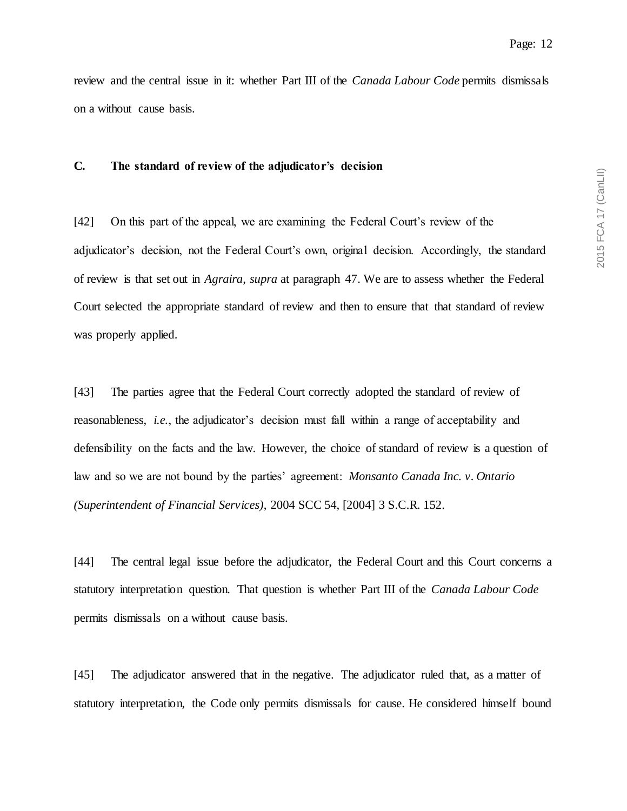review and the central issue in it: whether Part III of the *Canada Labour Code* permits dismissals on a without cause basis.

## **C. The standard of review of the adjudicator's decision**

[42] On this part of the appeal, we are examining the Federal Court's review of the adjudicator's decision, not the Federal Court's own, original decision. Accordingly, the standard of review is that set out in *Agraira*, *supra* at paragraph 47. We are to assess whether the Federal Court selected the appropriate standard of review and then to ensure that that standard of review was properly applied.

[43] The parties agree that the Federal Court correctly adopted the standard of review of reasonableness, *i.e.*, the adjudicator's decision must fall within a range of acceptability and defensibility on the facts and the law. However, the choice of standard of review is a question of law and so we are not bound by the parties' agreement: *Monsanto Canada Inc. v. Ontario (Superintendent of Financial Services)*, 2004 SCC 54, [2004] 3 S.C.R. 152.

[44] The central legal issue before the adjudicator, the Federal Court and this Court concerns a statutory interpretation question. That question is whether Part III of the *Canada Labour Code* permits dismissals on a without cause basis.

[45] The adjudicator answered that in the negative. The adjudicator ruled that, as a matter of statutory interpretation, the Code only permits dismissals for cause. He considered himself bound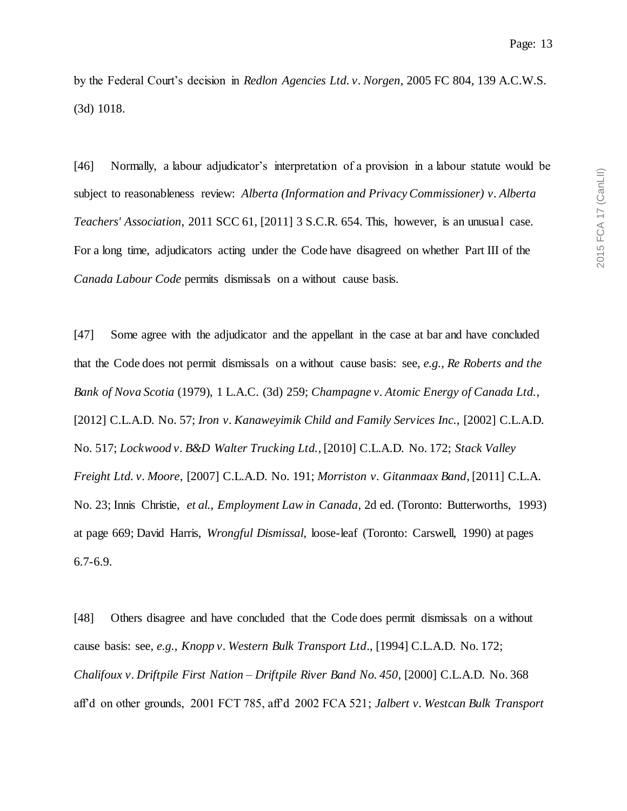by the Federal Court's decision in *Redlon Agencies Ltd. v. Norgen*, 2005 FC 804, 139 A.C.W.S. (3d) 1018.

[46] Normally, a labour adjudicator's interpretation of a provision in a labour statute would be subject to reasonableness review: *Alberta (Information and Privacy Commissioner) v. Alberta Teachers' Association*, 2011 SCC 61, [2011] 3 S.C.R. 654. This, however, is an unusual case. For a long time, adjudicators acting under the Code have disagreed on whether Part III of the *Canada Labour Code* permits dismissals on a without cause basis.

[47] Some agree with the adjudicator and the appellant in the case at bar and have concluded that the Code does not permit dismissals on a without cause basis: see, *e.g.*, *Re Roberts and the Bank of Nova Scotia* (1979), 1 L.A.C. (3d) 259; *Champagne v. Atomic Energy of Canada Ltd.*, [2012] C.L.A.D. No. 57; *Iron v. Kanaweyimik Child and Family Services Inc.*, [2002] C.L.A.D. No. 517; *Lockwood v. B&D Walter Trucking Ltd.*, [2010] C.L.A.D. No. 172; *Stack Valley Freight Ltd. v. Moore*, [2007] C.L.A.D. No. 191; *Morriston v. Gitanmaax Band*, [2011] C.L.A. No. 23; Innis Christie, *et al.*, *Employment Law in Canada*, 2d ed. (Toronto: Butterworths, 1993) at page 669; David Harris, *Wrongful Dismissal*, loose-leaf (Toronto: Carswell, 1990) at pages 6.7-6.9.

[48] Others disagree and have concluded that the Code does permit dismissals on a without cause basis: see, *e.g.*, *Knopp v. Western Bulk Transport Ltd*., [1994] C.L.A.D. No. 172; *Chalifoux v. Driftpile First Nation – Driftpile River Band No. 450*, [2000] C.L.A.D. No. 368 aff'd on other grounds, 2001 FCT 785, aff'd 2002 FCA 521; *Jalbert v. Westcan Bulk Transport*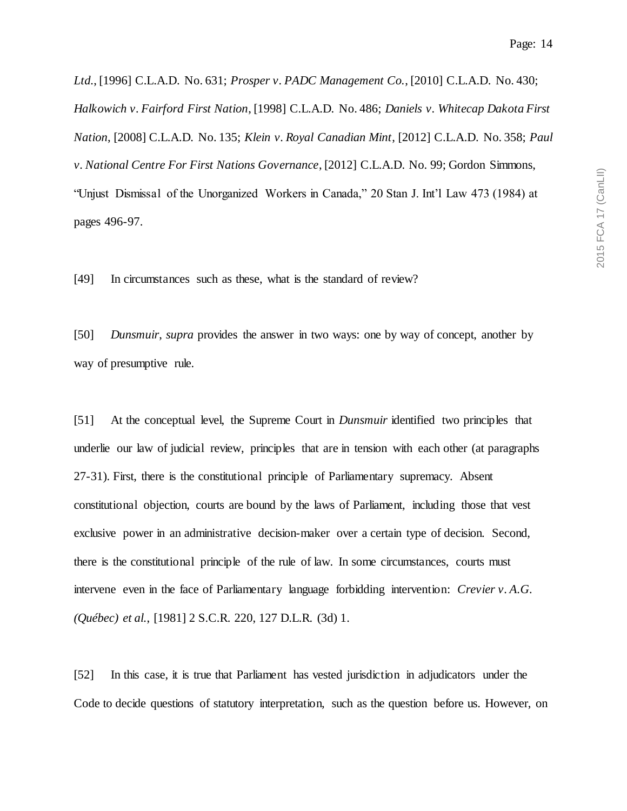*Ltd.*, [1996] C.L.A.D. No. 631; *Prosper v. PADC Management Co.*, [2010] C.L.A.D. No. 430; *Halkowich v. Fairford First Nation*, [1998] C.L.A.D. No. 486; *Daniels v. Whitecap Dakota First Nation*, [2008] C.L.A.D. No. 135; *Klein v. Royal Canadian Mint*, [2012] C.L.A.D. No. 358; *Paul v. National Centre For First Nations Governance*, [2012] C.L.A.D. No. 99; Gordon Simmons, "Unjust Dismissal of the Unorganized Workers in Canada," 20 Stan J. Int'l Law 473 (1984) at pages 496-97.

[49] In circumstances such as these, what is the standard of review?

[50] *Dunsmuir*, *supra* provides the answer in two ways: one by way of concept, another by way of presumptive rule.

[51] At the conceptual level, the Supreme Court in *Dunsmuir* identified two principles that underlie our law of judicial review, principles that are in tension with each other (at paragraphs 27-31). First, there is the constitutional principle of Parliamentary supremacy. Absent constitutional objection, courts are bound by the laws of Parliament, including those that vest exclusive power in an administrative decision-maker over a certain type of decision. Second, there is the constitutional principle of the rule of law. In some circumstances, courts must intervene even in the face of Parliamentary language forbidding intervention: *Crevier v. A.G. (Québec) et al.*, [1981] 2 S.C.R. 220, 127 D.L.R. (3d) 1.

[52] In this case, it is true that Parliament has vested jurisdiction in adjudicators under the Code to decide questions of statutory interpretation, such as the question before us. However, on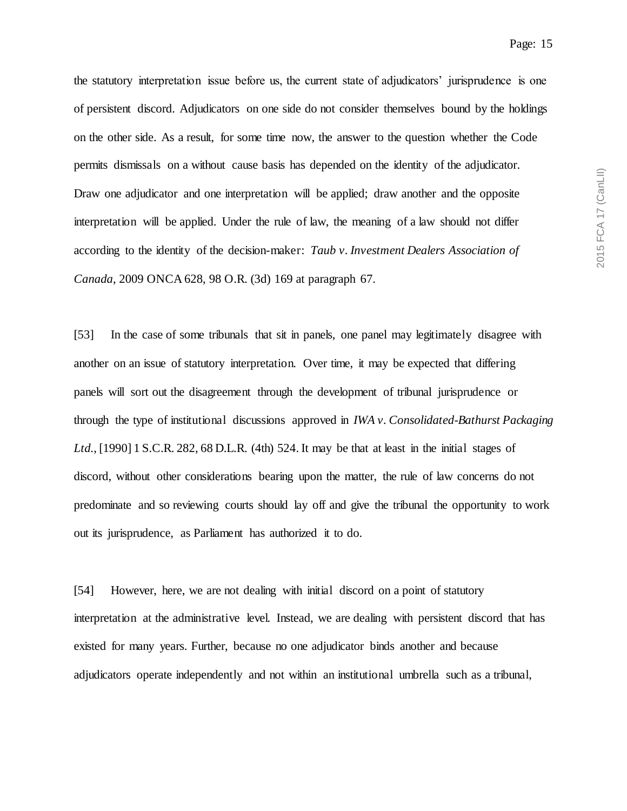the statutory interpretation issue before us, the current state of adjudicators' jurisprudence is one of persistent discord. Adjudicators on one side do not consider themselves bound by the holdings on the other side. As a result, for some time now, the answer to the question whether the Code permits dismissals on a without cause basis has depended on the identity of the adjudicator. Draw one adjudicator and one interpretation will be applied; draw another and the opposite interpretation will be applied. Under the rule of law, the meaning of a law should not differ according to the identity of the decision-maker: *Taub v. Investment Dealers Association of Canada*, 2009 ONCA 628, 98 O.R. (3d) 169 at paragraph 67.

[53] In the case of some tribunals that sit in panels, one panel may legitimately disagree with another on an issue of statutory interpretation. Over time, it may be expected that differing panels will sort out the disagreement through the development of tribunal jurisprudence or through the type of institutional discussions approved in *IWA v. Consolidated-Bathurst Packaging Ltd.*, [1990] 1 S.C.R. 282, 68 D.L.R. (4th) 524. It may be that at least in the initial stages of discord, without other considerations bearing upon the matter, the rule of law concerns do not predominate and so reviewing courts should lay off and give the tribunal the opportunity to work out its jurisprudence, as Parliament has authorized it to do.

[54] However, here, we are not dealing with initial discord on a point of statutory interpretation at the administrative level. Instead, we are dealing with persistent discord that has existed for many years. Further, because no one adjudicator binds another and because adjudicators operate independently and not within an institutional umbrella such as a tribunal,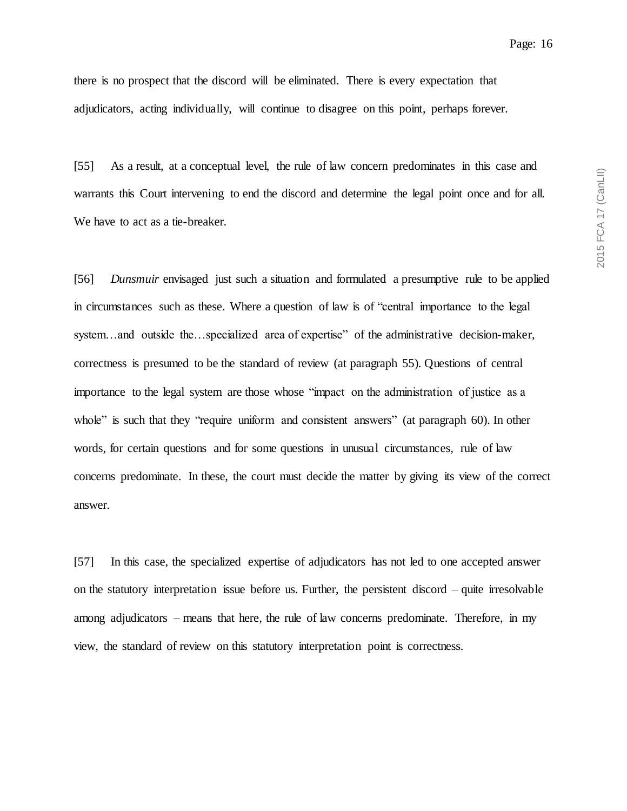there is no prospect that the discord will be eliminated. There is every expectation that adjudicators, acting individually, will continue to disagree on this point, perhaps forever.

[55] As a result, at a conceptual level, the rule of law concern predominates in this case and warrants this Court intervening to end the discord and determine the legal point once and for all. We have to act as a tie-breaker.

[56] *Dunsmuir* envisaged just such a situation and formulated a presumptive rule to be applied in circumstances such as these. Where a question of law is of "central importance to the legal system…and outside the…specialized area of expertise" of the administrative decision-maker, correctness is presumed to be the standard of review (at paragraph 55). Questions of central importance to the legal system are those whose "impact on the administration of justice as a whole" is such that they "require uniform and consistent answers" (at paragraph 60). In other words, for certain questions and for some questions in unusual circumstances, rule of law concerns predominate. In these, the court must decide the matter by giving its view of the correct answer.

[57] In this case, the specialized expertise of adjudicators has not led to one accepted answer on the statutory interpretation issue before us. Further, the persistent discord – quite irresolvable among adjudicators – means that here, the rule of law concerns predominate. Therefore, in my view, the standard of review on this statutory interpretation point is correctness.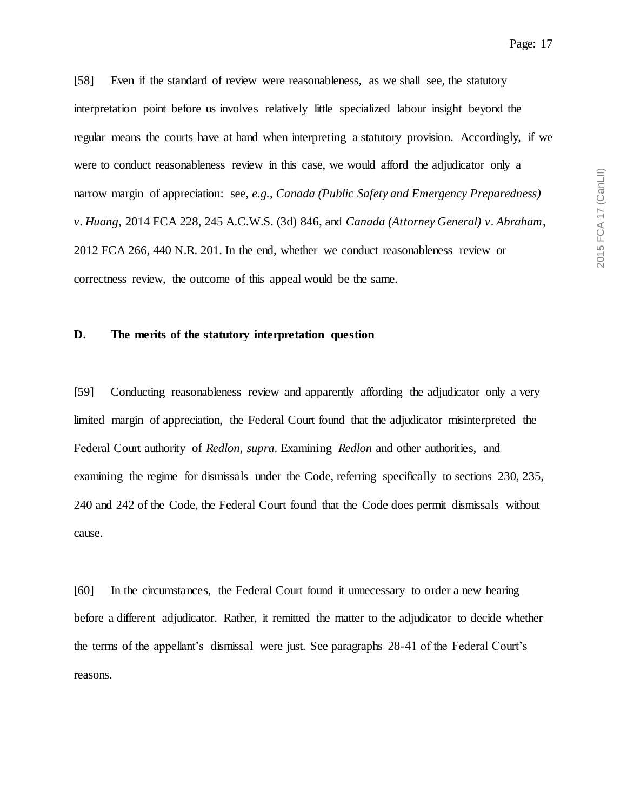[58] Even if the standard of review were reasonableness, as we shall see, the statutory interpretation point before us involves relatively little specialized labour insight beyond the regular means the courts have at hand when interpreting a statutory provision. Accordingly, if we were to conduct reasonableness review in this case, we would afford the adjudicator only a narrow margin of appreciation: see, *e.g.*, *Canada (Public Safety and Emergency Preparedness) v. Huang*, 2014 FCA 228, 245 A.C.W.S. (3d) 846, and *Canada (Attorney General) v. Abraham*, 2012 FCA 266, 440 N.R. 201. In the end, whether we conduct reasonableness review or correctness review, the outcome of this appeal would be the same.

## **D. The merits of the statutory interpretation question**

[59] Conducting reasonableness review and apparently affording the adjudicator only a very limited margin of appreciation, the Federal Court found that the adjudicator misinterpreted the Federal Court authority of *Redlon*, *supra*. Examining *Redlon* and other authorities, and examining the regime for dismissals under the Code, referring specifically to sections 230, 235, 240 and 242 of the Code, the Federal Court found that the Code does permit dismissals without cause.

[60] In the circumstances, the Federal Court found it unnecessary to order a new hearing before a different adjudicator. Rather, it remitted the matter to the adjudicator to decide whether the terms of the appellant's dismissal were just. See paragraphs 28-41 of the Federal Court's reasons.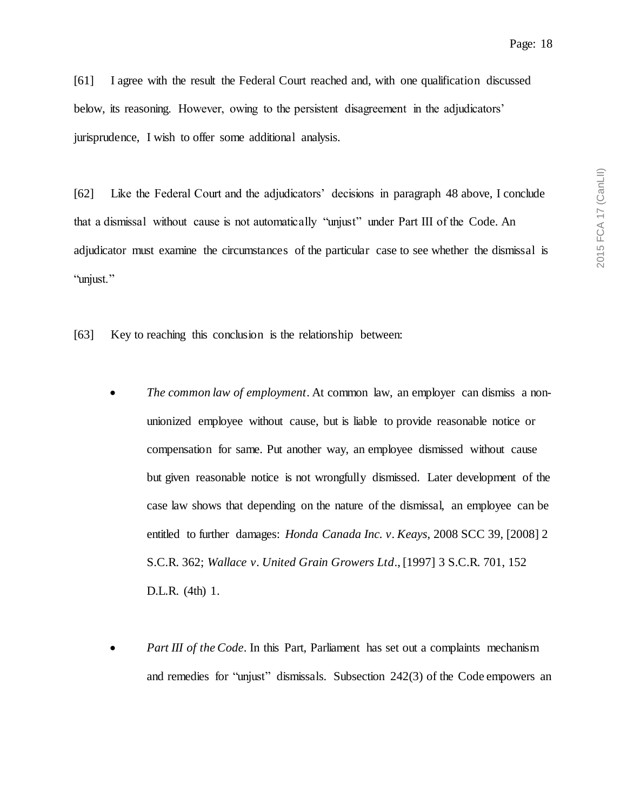[61] I agree with the result the Federal Court reached and, with one qualification discussed below, its reasoning. However, owing to the persistent disagreement in the adjudicators' jurisprudence, I wish to offer some additional analysis.

[62] Like the Federal Court and the adjudicators' decisions in paragraph 48 above, I conclude that a dismissal without cause is not automatically "unjust" under Part III of the Code. An adjudicator must examine the circumstances of the particular case to see whether the dismissal is "unjust."

[63] Key to reaching this conclusion is the relationship between:

- *The common law of employment*. At common law, an employer can dismiss a nonunionized employee without cause, but is liable to provide reasonable notice or compensation for same. Put another way, an employee dismissed without cause but given reasonable notice is not wrongfully dismissed. Later development of the case law shows that depending on the nature of the dismissal, an employee can be entitled to further damages: *Honda Canada Inc. v. Keays*, 2008 SCC 39, [2008] 2 S.C.R. 362; *Wallace v. United Grain Growers Ltd*., [1997] 3 S.C.R. 701, 152 D.L.R. (4th) 1.
- *Part III of the Code*. In this Part, Parliament has set out a complaints mechanism and remedies for "unjust" dismissals. Subsection 242(3) of the Code empowers an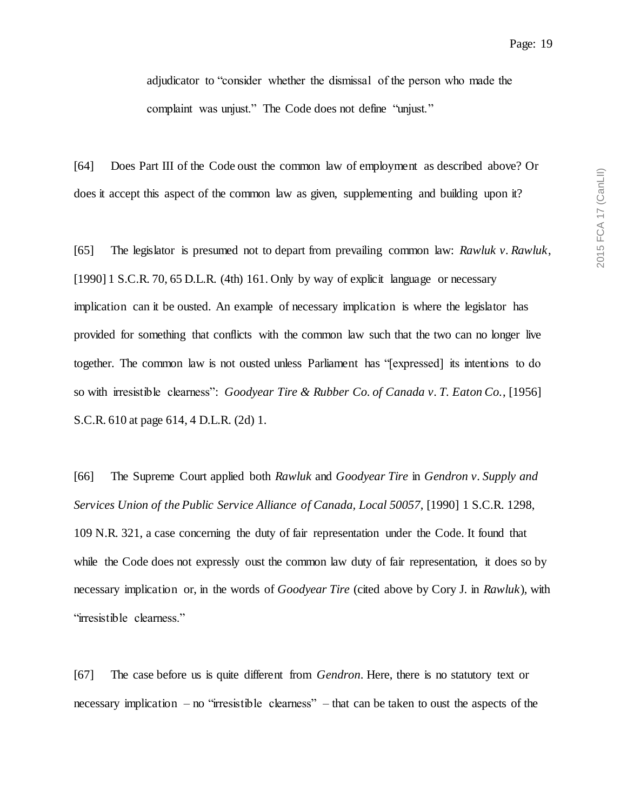adjudicator to "consider whether the dismissal of the person who made the complaint was unjust." The Code does not define "unjust."

[64] Does Part III of the Code oust the common law of employment as described above? Or does it accept this aspect of the common law as given, supplementing and building upon it?

[65] The legislator is presumed not to depart from prevailing common law: *Rawluk v. Rawluk*, [1990] 1 S.C.R. 70, 65 D.L.R. (4th) 161. Only by way of explicit language or necessary implication can it be ousted. An example of necessary implication is where the legislator has provided for something that conflicts with the common law such that the two can no longer live together. The common law is not ousted unless Parliament has "[expressed] its intentions to do so with irresistible clearness": *Goodyear Tire & Rubber Co. of Canada v. T. Eaton Co.*, [1956] S.C.R. 610 at page 614, 4 D.L.R. (2d) 1.

[66] The Supreme Court applied both *Rawluk* and *Goodyear Tire* in *Gendron v. Supply and Services Union of the Public Service Alliance of Canada, Local 50057*, [1990] 1 S.C.R. 1298, 109 N.R. 321, a case concerning the duty of fair representation under the Code. It found that while the Code does not expressly oust the common law duty of fair representation, it does so by necessary implication or, in the words of *Goodyear Tire* (cited above by Cory J. in *Rawluk*), with "irresistible clearness."

[67] The case before us is quite different from *Gendron*. Here, there is no statutory text or necessary implication – no "irresistible clearness" – that can be taken to oust the aspects of the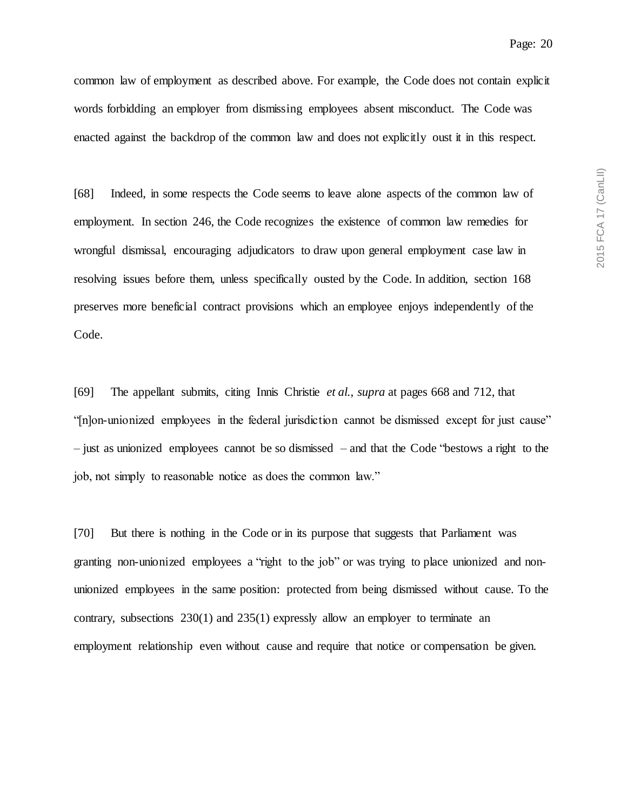common law of employment as described above. For example, the Code does not contain explicit words forbidding an employer from dismissing employees absent misconduct. The Code was enacted against the backdrop of the common law and does not explicitly oust it in this respect.

[68] Indeed, in some respects the Code seems to leave alone aspects of the common law of employment. In section 246, the Code recognizes the existence of common law remedies for wrongful dismissal, encouraging adjudicators to draw upon general employment case law in resolving issues before them, unless specifically ousted by the Code. In addition, section 168 preserves more beneficial contract provisions which an employee enjoys independently of the Code.

[69] The appellant submits, citing Innis Christie *et al.*, *supra* at pages 668 and 712, that "[n]on-unionized employees in the federal jurisdiction cannot be dismissed except for just cause" – just as unionized employees cannot be so dismissed – and that the Code "bestows a right to the job, not simply to reasonable notice as does the common law."

[70] But there is nothing in the Code or in its purpose that suggests that Parliament was granting non-unionized employees a "right to the job" or was trying to place unionized and nonunionized employees in the same position: protected from being dismissed without cause. To the contrary, subsections 230(1) and 235(1) expressly allow an employer to terminate an employment relationship even without cause and require that notice or compensation be given.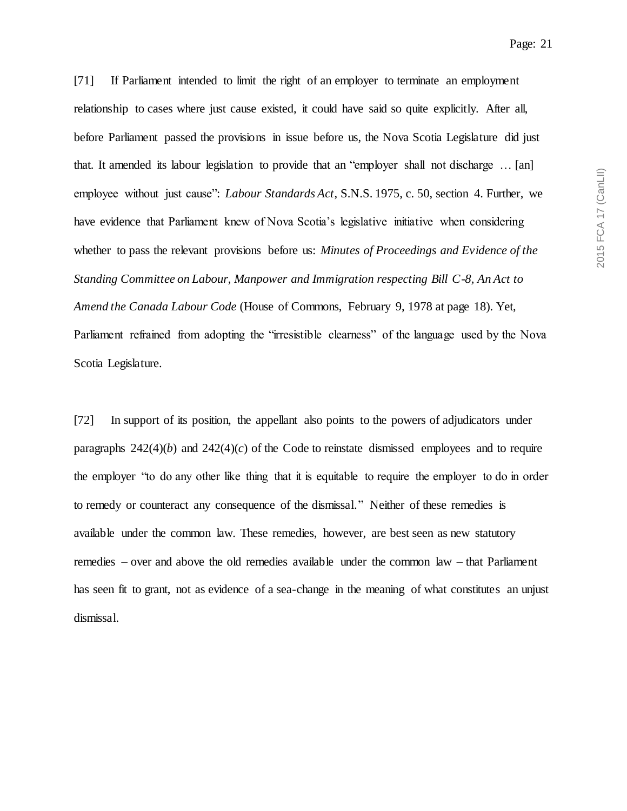[71] If Parliament intended to limit the right of an employer to terminate an employment relationship to cases where just cause existed, it could have said so quite explicitly. After all, before Parliament passed the provisions in issue before us, the Nova Scotia Legislature did just that. It amended its labour legislation to provide that an "employer shall not discharge … [an] employee without just cause": *Labour Standards Act*, S.N.S. 1975, c. 50, section 4. Further, we have evidence that Parliament knew of Nova Scotia's legislative initiative when considering whether to pass the relevant provisions before us: *Minutes of Proceedings and Evidence of the Standing Committee on Labour, Manpower and Immigration respecting Bill C-8, An Act to Amend the Canada Labour Code* (House of Commons, February 9, 1978 at page 18). Yet, Parliament refrained from adopting the "irresistible clearness" of the language used by the Nova Scotia Legislature.

[72] In support of its position, the appellant also points to the powers of adjudicators under paragraphs  $242(4)(b)$  and  $242(4)(c)$  of the Code to reinstate dismissed employees and to require the employer "to do any other like thing that it is equitable to require the employer to do in order to remedy or counteract any consequence of the dismissal." Neither of these remedies is available under the common law. These remedies, however, are best seen as new statutory remedies – over and above the old remedies available under the common law – that Parliament has seen fit to grant, not as evidence of a sea-change in the meaning of what constitutes an unjust dismissal.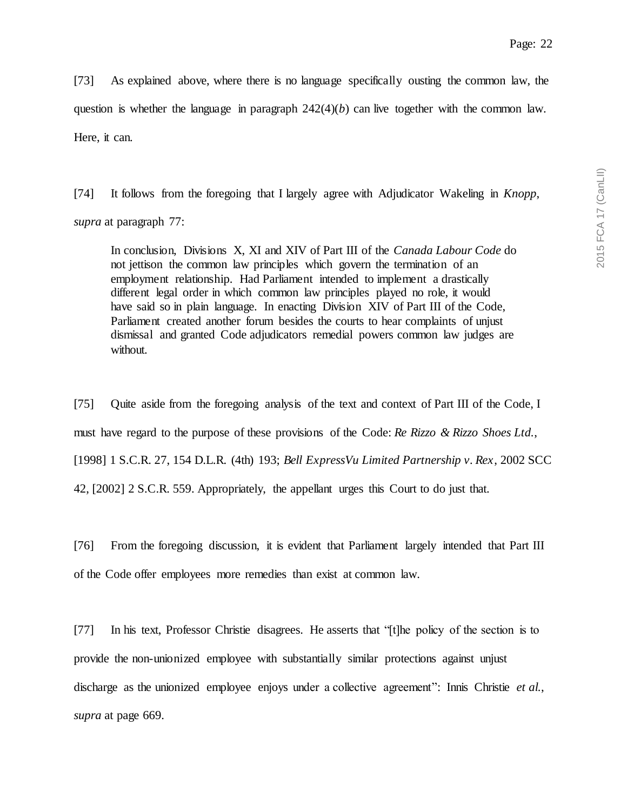[73] As explained above, where there is no language specifically ousting the common law, the question is whether the language in paragraph  $242(4)(b)$  can live together with the common law. Here, it can.

[74] It follows from the foregoing that I largely agree with Adjudicator Wakeling in *Knopp*, *supra* at paragraph 77:

In conclusion, Divisions X, XI and XIV of Part III of the *Canada Labour Code* do not jettison the common law principles which govern the termination of an employment relationship. Had Parliament intended to implement a drastically different legal order in which common law principles played no role, it would have said so in plain language. In enacting Division XIV of Part III of the Code, Parliament created another forum besides the courts to hear complaints of unjust dismissal and granted Code adjudicators remedial powers common law judges are without.

[75] Quite aside from the foregoing analysis of the text and context of Part III of the Code, I must have regard to the purpose of these provisions of the Code: *Re Rizzo & Rizzo Shoes Ltd.*, [1998] 1 S.C.R. 27, 154 D.L.R. (4th) 193; *Bell ExpressVu Limited Partnership v. Rex*, 2002 SCC 42, [2002] 2 S.C.R. 559. Appropriately, the appellant urges this Court to do just that.

[76] From the foregoing discussion, it is evident that Parliament largely intended that Part III of the Code offer employees more remedies than exist at common law.

[77] In his text, Professor Christie disagrees. He asserts that "[t]he policy of the section is to provide the non-unionized employee with substantially similar protections against unjust discharge as the unionized employee enjoys under a collective agreement": Innis Christie *et al.*, *supra* at page 669.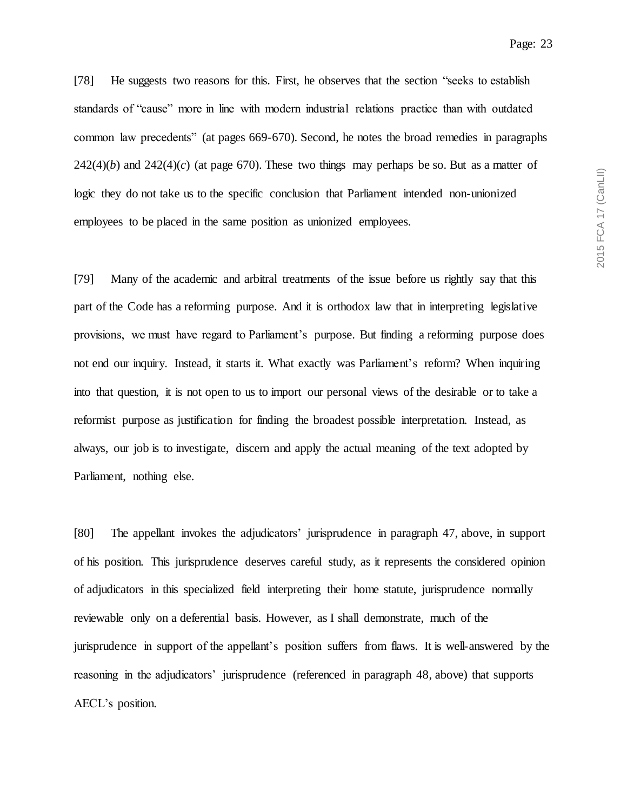Page: 23

[78] He suggests two reasons for this. First, he observes that the section "seeks to establish standards of "cause" more in line with modern industrial relations practice than with outdated common law precedents" (at pages 669-670). Second, he notes the broad remedies in paragraphs  $242(4)(b)$  and  $242(4)(c)$  (at page 670). These two things may perhaps be so. But as a matter of logic they do not take us to the specific conclusion that Parliament intended non-unionized employees to be placed in the same position as unionized employees.

[79] Many of the academic and arbitral treatments of the issue before us rightly say that this part of the Code has a reforming purpose. And it is orthodox law that in interpreting legislative provisions, we must have regard to Parliament's purpose. But finding a reforming purpose does not end our inquiry. Instead, it starts it. What exactly was Parliament's reform? When inquiring into that question, it is not open to us to import our personal views of the desirable or to take a reformist purpose as justification for finding the broadest possible interpretation. Instead, as always, our job is to investigate, discern and apply the actual meaning of the text adopted by Parliament, nothing else.

[80] The appellant invokes the adjudicators' jurisprudence in paragraph 47, above, in support of his position. This jurisprudence deserves careful study, as it represents the considered opinion of adjudicators in this specialized field interpreting their home statute, jurisprudence normally reviewable only on a deferential basis. However, as I shall demonstrate, much of the jurisprudence in support of the appellant's position suffers from flaws. It is well-answered by the reasoning in the adjudicators' jurisprudence (referenced in paragraph 48, above) that supports AECL's position.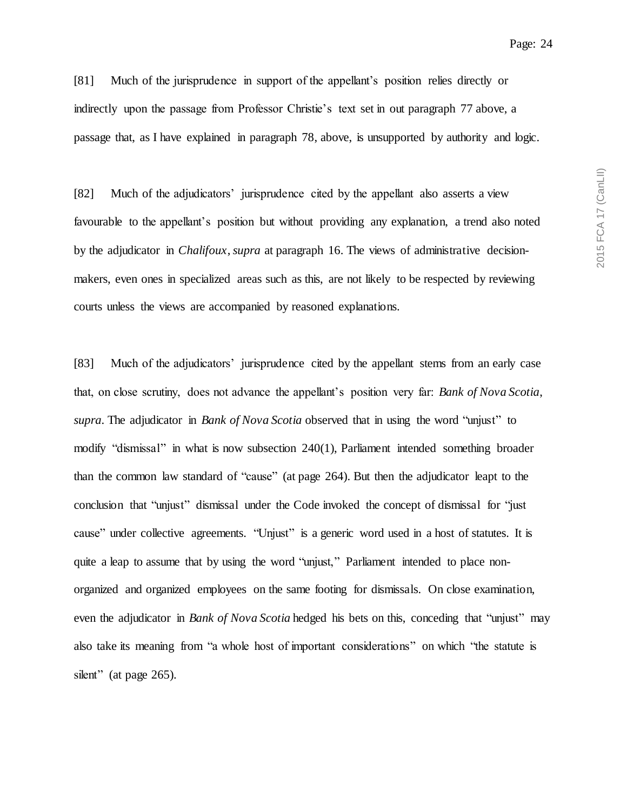[81] Much of the jurisprudence in support of the appellant's position relies directly or indirectly upon the passage from Professor Christie's text set in out paragraph 77 above, a passage that, as I have explained in paragraph 78, above, is unsupported by authority and logic.

[82] Much of the adjudicators' jurisprudence cited by the appellant also asserts a view favourable to the appellant's position but without providing any explanation, a trend also noted by the adjudicator in *Chalifoux*, *supra* at paragraph 16. The views of administrative decisionmakers, even ones in specialized areas such as this, are not likely to be respected by reviewing courts unless the views are accompanied by reasoned explanations.

[83] Much of the adjudicators' jurisprudence cited by the appellant stems from an early case that, on close scrutiny, does not advance the appellant's position very far: *Bank of Nova Scotia*, *supra*. The adjudicator in *Bank of Nova Scotia* observed that in using the word "unjust" to modify "dismissal" in what is now subsection 240(1), Parliament intended something broader than the common law standard of "cause" (at page 264). But then the adjudicator leapt to the conclusion that "unjust" dismissal under the Code invoked the concept of dismissal for "just cause" under collective agreements. "Unjust" is a generic word used in a host of statutes. It is quite a leap to assume that by using the word "unjust," Parliament intended to place nonorganized and organized employees on the same footing for dismissals. On close examination, even the adjudicator in *Bank of Nova Scotia* hedged his bets on this, conceding that "unjust" may also take its meaning from "a whole host of important considerations" on which "the statute is silent" (at page 265).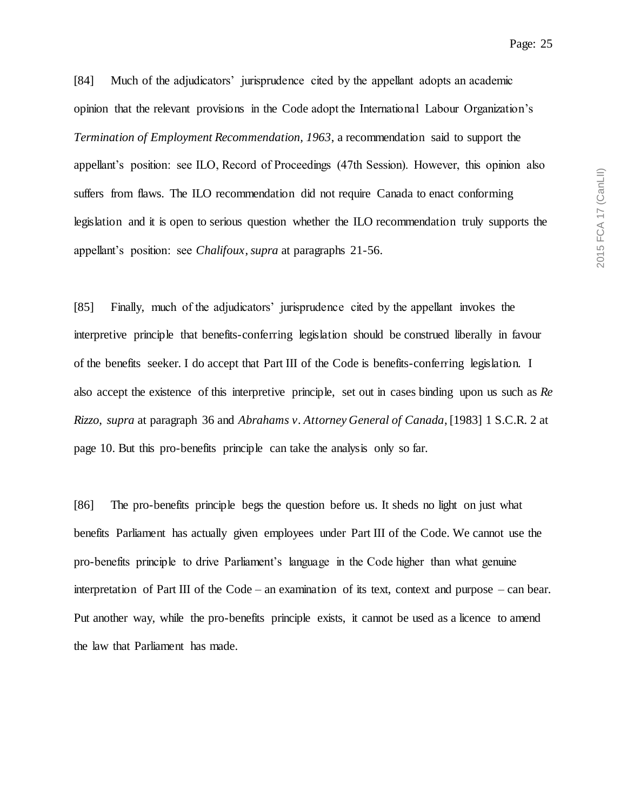[84] Much of the adjudicators' jurisprudence cited by the appellant adopts an academic opinion that the relevant provisions in the Code adopt the International Labour Organization's *Termination of Employment Recommendation, 1963*, a recommendation said to support the appellant's position: see ILO, Record of Proceedings (47th Session). However, this opinion also suffers from flaws. The ILO recommendation did not require Canada to enact conforming legislation and it is open to serious question whether the ILO recommendation truly supports the appellant's position: see *Chalifoux*, *supra* at paragraphs 21-56.

[85] Finally, much of the adjudicators' jurisprudence cited by the appellant invokes the interpretive principle that benefits-conferring legislation should be construed liberally in favour of the benefits seeker. I do accept that Part III of the Code is benefits-conferring legislation. I also accept the existence of this interpretive principle, set out in cases binding upon us such as *Re Rizzo*, *supra* at paragraph 36 and *Abrahams v. Attorney General of Canada*, [1983] 1 S.C.R. 2 at page 10. But this pro-benefits principle can take the analysis only so far.

[86] The pro-benefits principle begs the question before us. It sheds no light on just what benefits Parliament has actually given employees under Part III of the Code. We cannot use the pro-benefits principle to drive Parliament's language in the Code higher than what genuine interpretation of Part III of the Code – an examination of its text, context and purpose – can bear. Put another way, while the pro-benefits principle exists, it cannot be used as a licence to amend the law that Parliament has made.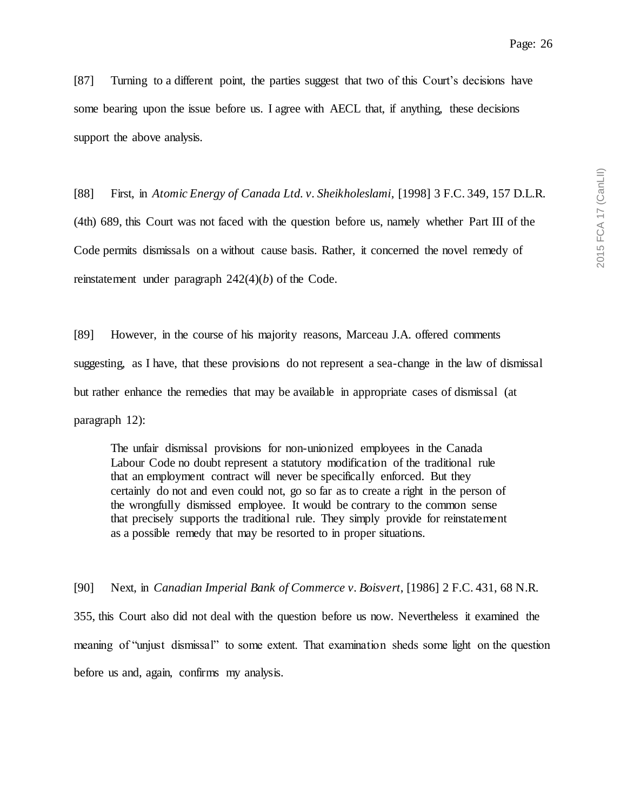[87] Turning to a different point, the parties suggest that two of this Court's decisions have some bearing upon the issue before us. I agree with AECL that, if anything, these decisions support the above analysis.

[88] First, in *Atomic Energy of Canada Ltd. v. Sheikholeslami*, [1998] 3 F.C. 349, 157 D.L.R. (4th) 689, this Court was not faced with the question before us, namely whether Part III of the Code permits dismissals on a without cause basis. Rather, it concerned the novel remedy of reinstatement under paragraph 242(4)(*b*) of the Code.

[89] However, in the course of his majority reasons, Marceau J.A. offered comments suggesting, as I have, that these provisions do not represent a sea-change in the law of dismissal but rather enhance the remedies that may be available in appropriate cases of dismissal (at paragraph 12):

The unfair dismissal provisions for non-unionized employees in the Canada Labour Code no doubt represent a statutory modification of the traditional rule that an employment contract will never be specifically enforced. But they certainly do not and even could not, go so far as to create a right in the person of the wrongfully dismissed employee. It would be contrary to the common sense that precisely supports the traditional rule. They simply provide for reinstatement as a possible remedy that may be resorted to in proper situations.

[90] Next, in *Canadian Imperial Bank of Commerce v. Boisvert*, [1986] 2 F.C. 431, 68 N.R. 355, this Court also did not deal with the question before us now. Nevertheless it examined the meaning of "unjust dismissal" to some extent. That examination sheds some light on the question before us and, again, confirms my analysis.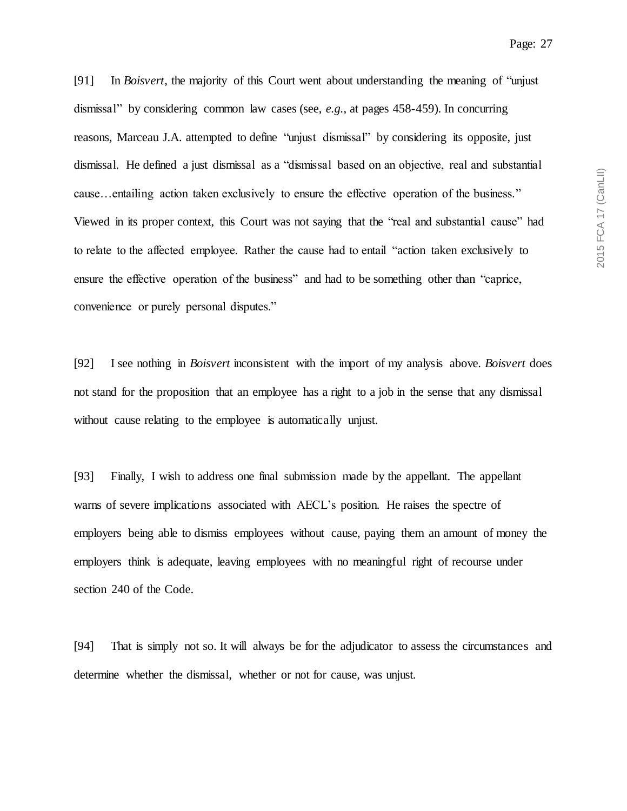[91] In *Boisvert*, the majority of this Court went about understanding the meaning of "unjust dismissal" by considering common law cases (see, *e.g.*, at pages 458-459). In concurring reasons, Marceau J.A. attempted to define "unjust dismissal" by considering its opposite, just dismissal. He defined a just dismissal as a "dismissal based on an objective, real and substantial cause…entailing action taken exclusively to ensure the effective operation of the business." Viewed in its proper context, this Court was not saying that the "real and substantial cause" had to relate to the affected employee. Rather the cause had to entail "action taken exclusively to ensure the effective operation of the business" and had to be something other than "caprice, convenience or purely personal disputes."

[92] I see nothing in *Boisvert* inconsistent with the import of my analysis above. *Boisvert* does not stand for the proposition that an employee has a right to a job in the sense that any dismissal without cause relating to the employee is automatically unjust.

[93] Finally, I wish to address one final submission made by the appellant. The appellant warns of severe implications associated with AECL's position. He raises the spectre of employers being able to dismiss employees without cause, paying them an amount of money the employers think is adequate, leaving employees with no meaningful right of recourse under section 240 of the Code.

[94] That is simply not so. It will always be for the adjudicator to assess the circumstances and determine whether the dismissal, whether or not for cause, was unjust.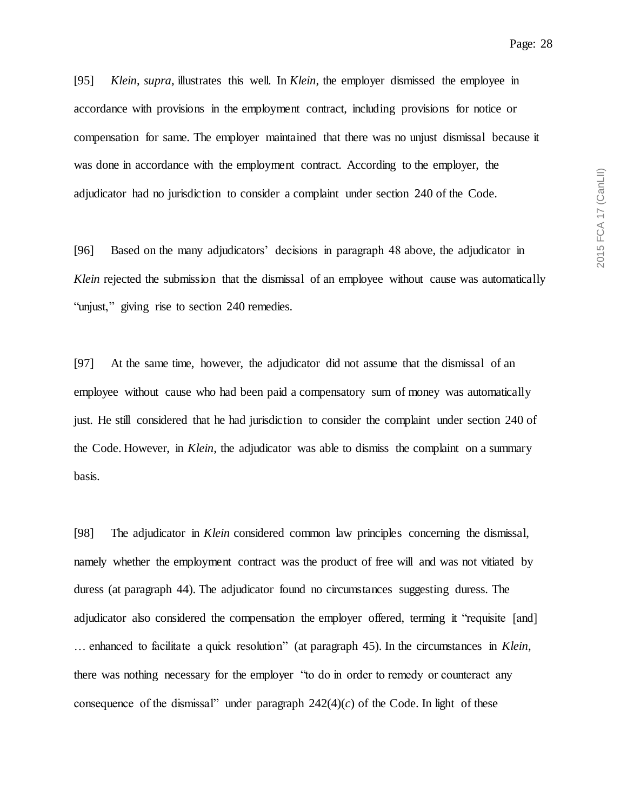[95] *Klein*, *supra*, illustrates this well. In *Klein*, the employer dismissed the employee in accordance with provisions in the employment contract, including provisions for notice or compensation for same. The employer maintained that there was no unjust dismissal because it was done in accordance with the employment contract. According to the employer, the adjudicator had no jurisdiction to consider a complaint under section 240 of the Code.

[96] Based on the many adjudicators' decisions in paragraph 48 above, the adjudicator in *Klein* rejected the submission that the dismissal of an employee without cause was automatically "unjust," giving rise to section 240 remedies.

[97] At the same time, however, the adjudicator did not assume that the dismissal of an employee without cause who had been paid a compensatory sum of money was automatically just. He still considered that he had jurisdiction to consider the complaint under section 240 of the Code. However, in *Klein*, the adjudicator was able to dismiss the complaint on a summary basis.

[98] The adjudicator in *Klein* considered common law principles concerning the dismissal, namely whether the employment contract was the product of free will and was not vitiated by duress (at paragraph 44). The adjudicator found no circumstances suggesting duress. The adjudicator also considered the compensation the employer offered, terming it "requisite [and] … enhanced to facilitate a quick resolution" (at paragraph 45). In the circumstances in *Klein*, there was nothing necessary for the employer "to do in order to remedy or counteract any consequence of the dismissal" under paragraph  $242(4)(c)$  of the Code. In light of these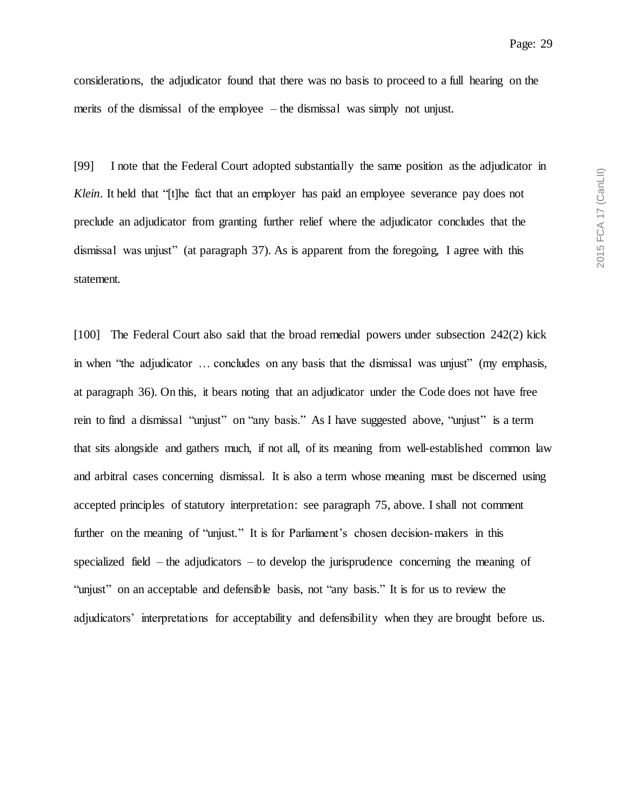considerations, the adjudicator found that there was no basis to proceed to a full hearing on the merits of the dismissal of the employee – the dismissal was simply not unjust.

[99] I note that the Federal Court adopted substantially the same position as the adjudicator in *Klein*. It held that "[t]he fact that an employer has paid an employee severance pay does not preclude an adjudicator from granting further relief where the adjudicator concludes that the dismissal was unjust" (at paragraph 37). As is apparent from the foregoing, I agree with this statement.

[100] The Federal Court also said that the broad remedial powers under subsection 242(2) kick in when "the adjudicator ... concludes on any basis that the dismissal was unjust" (my emphasis, at paragraph 36). On this, it bears noting that an adjudicator under the Code does not have free rein to find a dismissal "unjust" on "any basis." As I have suggested above, "unjust" is a term that sits alongside and gathers much, if not all, of its meaning from well-established common law and arbitral cases concerning dismissal. It is also a term whose meaning must be discerned using accepted principles of statutory interpretation: see paragraph 75, above. I shall not comment further on the meaning of "unjust." It is for Parliament's chosen decision-makers in this specialized field – the adjudicators – to develop the jurisprudence concerning the meaning of "unjust" on an acceptable and defensible basis, not "any basis." It is for us to review the adjudicators' interpretations for acceptability and defensibility when they are brought before us.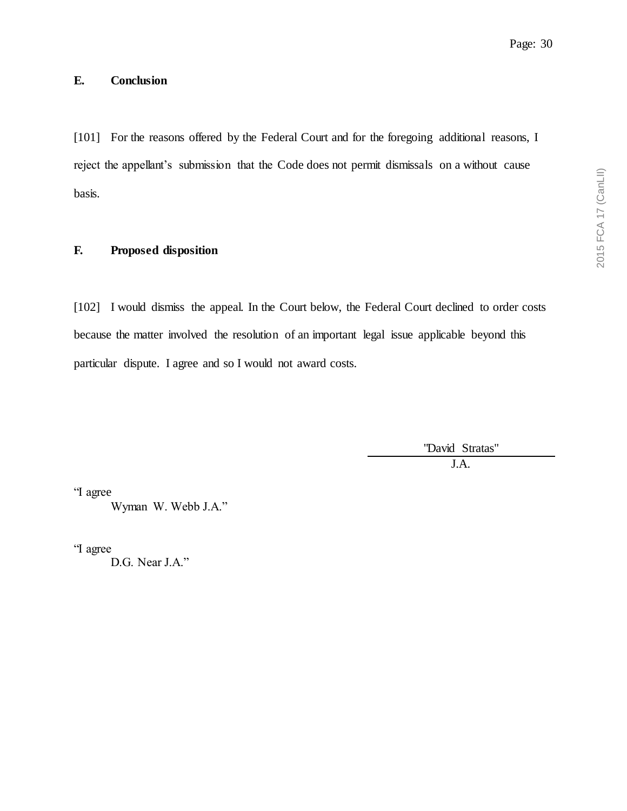# **E. Conclusion**

[101] For the reasons offered by the Federal Court and for the foregoing additional reasons, I reject the appellant's submission that the Code does not permit dismissals on a without cause basis.

## **F. Proposed disposition**

[102] I would dismiss the appeal. In the Court below, the Federal Court declined to order costs because the matter involved the resolution of an important legal issue applicable beyond this particular dispute. I agree and so I would not award costs.

> "David Stratas" J.A.

"I agree

Wyman W. Webb J.A."

"I agree

D.G. Near J.A."